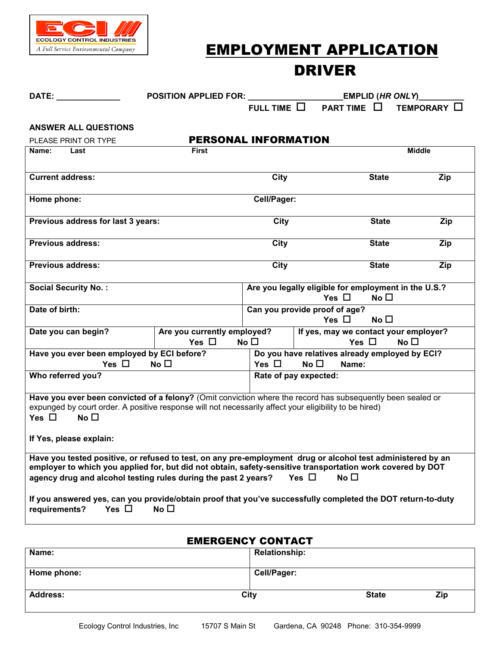

# EMPLOYMENT APPLICATION DRIVER

| DATE: the contract of the contract of the contract of the contract of the contract of the contract of the contract of the contract of the contract of the contract of the contract of the contract of the contract of the cont                                                              | POSITION APPLIED FOR: Network and the set of the set of the set of the set of the set of the set of the set of the set of the set of the set of the set of the set of the set of the set of the set of the set of the set of t |                  |                                                                    |              | <b>EMPLID</b> (HR ONLY)________ |
|---------------------------------------------------------------------------------------------------------------------------------------------------------------------------------------------------------------------------------------------------------------------------------------------|--------------------------------------------------------------------------------------------------------------------------------------------------------------------------------------------------------------------------------|------------------|--------------------------------------------------------------------|--------------|---------------------------------|
|                                                                                                                                                                                                                                                                                             |                                                                                                                                                                                                                                | FULL TIME $\Box$ | PART TIME $\Box$                                                   |              | TEMPORARY O                     |
| <b>ANSWER ALL QUESTIONS</b>                                                                                                                                                                                                                                                                 |                                                                                                                                                                                                                                |                  |                                                                    |              |                                 |
| PLEASE PRINT OR TYPE                                                                                                                                                                                                                                                                        | <b>PERSONAL INFORMATION</b>                                                                                                                                                                                                    |                  |                                                                    |              |                                 |
| Name:<br>Last                                                                                                                                                                                                                                                                               | <b>First</b>                                                                                                                                                                                                                   |                  |                                                                    |              | <b>Middle</b>                   |
|                                                                                                                                                                                                                                                                                             |                                                                                                                                                                                                                                |                  |                                                                    |              |                                 |
| <b>Current address:</b>                                                                                                                                                                                                                                                                     |                                                                                                                                                                                                                                | City             |                                                                    | <b>State</b> | Zip                             |
| Home phone:                                                                                                                                                                                                                                                                                 |                                                                                                                                                                                                                                | Cell/Pager:      |                                                                    |              |                                 |
| Previous address for last 3 years:                                                                                                                                                                                                                                                          |                                                                                                                                                                                                                                | City             |                                                                    | <b>State</b> | Zip                             |
| <b>Previous address:</b>                                                                                                                                                                                                                                                                    |                                                                                                                                                                                                                                | City             |                                                                    | <b>State</b> | Zip                             |
| <b>Previous address:</b>                                                                                                                                                                                                                                                                    |                                                                                                                                                                                                                                | City             |                                                                    | <b>State</b> | Zip                             |
| <b>Social Security No.:</b>                                                                                                                                                                                                                                                                 |                                                                                                                                                                                                                                |                  | Are you legally eligible for employment in the U.S.?<br>Yes $\Box$ | No $\Box$    |                                 |
| Date of birth:                                                                                                                                                                                                                                                                              |                                                                                                                                                                                                                                |                  |                                                                    |              |                                 |
|                                                                                                                                                                                                                                                                                             |                                                                                                                                                                                                                                |                  | Can you provide proof of age?<br>Yes $\Box$                        | No $\Box$    |                                 |
| Date you can begin?                                                                                                                                                                                                                                                                         | Are you currently employed?                                                                                                                                                                                                    |                  | If yes, may we contact your employer?                              |              |                                 |
|                                                                                                                                                                                                                                                                                             | Yes $\Box$<br>No $\square$<br>Yes $\Box$<br>No $\square$                                                                                                                                                                       |                  |                                                                    |              |                                 |
| Have you ever been employed by ECI before?                                                                                                                                                                                                                                                  |                                                                                                                                                                                                                                |                  | Do you have relatives already employed by ECI?                     |              |                                 |
| Yes $\square$<br>No $\square$<br>Yes $\Box$<br>No $\square$<br>Name:                                                                                                                                                                                                                        |                                                                                                                                                                                                                                |                  |                                                                    |              |                                 |
| Who referred you?                                                                                                                                                                                                                                                                           |                                                                                                                                                                                                                                |                  | Rate of pay expected:                                              |              |                                 |
| Have you ever been convicted of a felony? (Omit conviction where the record has subsequently been sealed or<br>expunged by court order. A positive response will not necessarily affect your eligibility to be hired)<br>Yes $\square$ No $\square$<br>If Yes, please explain:              |                                                                                                                                                                                                                                |                  |                                                                    |              |                                 |
| Have you tested positive, or refused to test, on any pre-employment drug or alcohol test administered by an<br>employer to which you applied for, but did not obtain, safety-sensitive transportation work covered by DOT<br>agency drug and alcohol testing rules during the past 2 years? |                                                                                                                                                                                                                                |                  | Yes $\Box$<br>No $\square$                                         |              |                                 |
| If you answered yes, can you provide/obtain proof that you've successfully completed the DOT return-to-duty<br>Yes $\Box$<br>requirements?                                                                                                                                                  | No $\square$                                                                                                                                                                                                                   |                  |                                                                    |              |                                 |

## EMERGENCY CONTACT

| Name:                   | <b>Relationship:</b> |
|-------------------------|----------------------|
| Home phone:             | Cell/Pager:          |
| <b>Address:</b><br>City | <b>State</b><br>Zip  |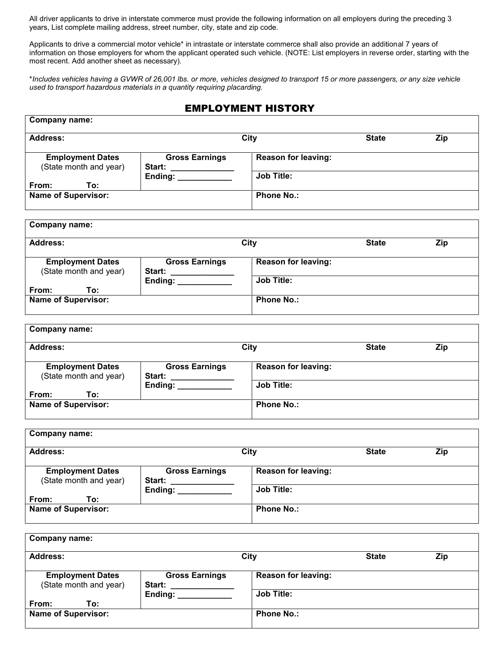All driver applicants to drive in interstate commerce must provide the following information on all employers during the preceding 3 years, List complete mailing address, street number, city, state and zip code.

Applicants to drive a commercial motor vehicle\* in intrastate or interstate commerce shall also provide an additional 7 years of information on those employers for whom the applicant operated such vehicle. (NOTE: List employers in reverse order, starting with the most recent. Add another sheet as necessary).

\**Includes vehicles having a GVWR of 26,001 lbs. or more, vehicles designed to transport 15 or more passengers, or any size vehicle used to transport hazardous materials in a quantity requiring placarding.*

#### EMPLOYMENT HISTORY

| Company name:                                     |                                                   |                                                 |              |     |
|---------------------------------------------------|---------------------------------------------------|-------------------------------------------------|--------------|-----|
| Address:                                          |                                                   | City                                            | <b>State</b> | Zip |
| <b>Employment Dates</b><br>(State month and year) | <b>Gross Earnings</b><br><b>Start:</b><br>Ending: | <b>Reason for leaving:</b><br><b>Job Title:</b> |              |     |
| From:<br>To:                                      |                                                   |                                                 |              |     |
| <b>Name of Supervisor:</b>                        |                                                   | <b>Phone No.:</b>                               |              |     |

| <b>Address:</b>            |                       | City                       | <b>State</b> | <b>Zip</b> |
|----------------------------|-----------------------|----------------------------|--------------|------------|
| <b>Employment Dates</b>    | <b>Gross Earnings</b> | <b>Reason for leaving:</b> |              |            |
| (State month and year)     | Start:<br>Ending:     | <b>Job Title:</b>          |              |            |
| From:<br>To:               |                       |                            |              |            |
| <b>Name of Supervisor:</b> |                       | <b>Phone No.:</b>          |              |            |

| Company name:                                     |                                        |                            |              |     |
|---------------------------------------------------|----------------------------------------|----------------------------|--------------|-----|
| Address:                                          |                                        | City                       | <b>State</b> | Zip |
| <b>Employment Dates</b><br>(State month and year) | <b>Gross Earnings</b><br><b>Start:</b> | <b>Reason for leaving:</b> |              |     |
| From:<br>To:                                      | Ending:                                | <b>Job Title:</b>          |              |     |
| <b>Name of Supervisor:</b>                        |                                        | <b>Phone No.:</b>          |              |     |

| <b>Address:</b>                                   |                                        | City                       | <b>State</b> |     |
|---------------------------------------------------|----------------------------------------|----------------------------|--------------|-----|
|                                                   |                                        |                            |              | Zip |
| <b>Employment Dates</b><br>(State month and year) | <b>Gross Earnings</b><br><b>Start:</b> | <b>Reason for leaving:</b> |              |     |
|                                                   | Ending:                                | <b>Job Title:</b>          |              |     |
| From:<br>To:                                      |                                        |                            |              |     |
| <b>Name of Supervisor:</b>                        |                                        | <b>Phone No.:</b>          |              |     |

| <b>Company name:</b>                              |                                                   |                                                 |              |     |
|---------------------------------------------------|---------------------------------------------------|-------------------------------------------------|--------------|-----|
| Address:                                          |                                                   | City                                            | <b>State</b> | Zip |
| <b>Employment Dates</b><br>(State month and year) | <b>Gross Earnings</b><br><b>Start:</b><br>Ending: | <b>Reason for leaving:</b><br><b>Job Title:</b> |              |     |
| From:<br>To:<br><b>Name of Supervisor:</b>        |                                                   | <b>Phone No.:</b>                               |              |     |
|                                                   |                                                   |                                                 |              |     |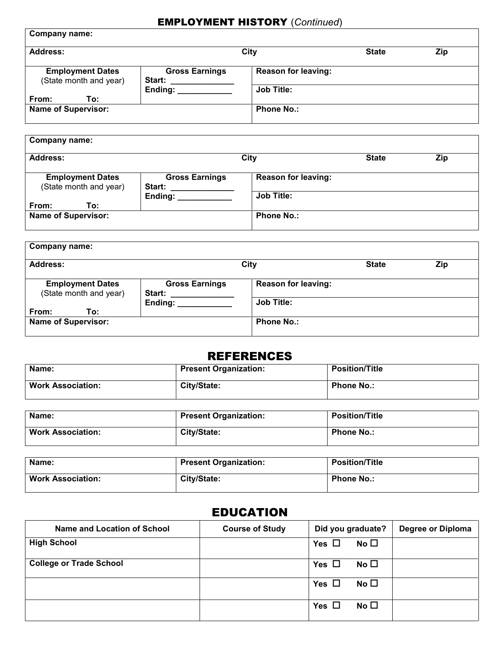## EMPLOYMENT HISTORY (*Continued*)

| <b>Company name:</b>                              |                                        |                            |              |            |
|---------------------------------------------------|----------------------------------------|----------------------------|--------------|------------|
| <b>Address:</b>                                   |                                        | <b>City</b>                | <b>State</b> | <b>Zip</b> |
| <b>Employment Dates</b><br>(State month and year) | <b>Gross Earnings</b><br><b>Start:</b> | <b>Reason for leaving:</b> |              |            |
|                                                   | Ending:                                | <b>Job Title:</b>          |              |            |
| From:<br>To:                                      |                                        |                            |              |            |
| <b>Name of Supervisor:</b>                        |                                        | <b>Phone No.:</b>          |              |            |
|                                                   |                                        |                            |              |            |

| <b>Company name:</b>                              |                                        |                            |              |            |
|---------------------------------------------------|----------------------------------------|----------------------------|--------------|------------|
| Address:                                          |                                        | City                       | <b>State</b> | <b>Zip</b> |
| <b>Employment Dates</b><br>(State month and year) | <b>Gross Earnings</b><br><b>Start:</b> | <b>Reason for leaving:</b> |              |            |
|                                                   | Ending:                                | <b>Job Title:</b>          |              |            |
| From:<br>To:<br><b>Name of Supervisor:</b>        |                                        | <b>Phone No.:</b>          |              |            |

| <b>Company name:</b>                              |                                 |                            |              |            |
|---------------------------------------------------|---------------------------------|----------------------------|--------------|------------|
| <b>Address:</b>                                   |                                 | City                       | <b>State</b> | <b>Zip</b> |
| <b>Employment Dates</b><br>(State month and year) | <b>Gross Earnings</b><br>Start: | <b>Reason for leaving:</b> |              |            |
| From:<br>To:                                      | Ending:                         | <b>Job Title:</b>          |              |            |
| <b>Name of Supervisor:</b>                        |                                 | <b>Phone No.:</b>          |              |            |

## REFERENCES

| Name:                    | <b>Present Organization:</b> | <b>Position/Title</b> |
|--------------------------|------------------------------|-----------------------|
| <b>Work Association:</b> | City/State:                  | <b>Phone No.:</b>     |

| Name:                    | <b>Present Organization:</b> | <b>Position/Title</b> |
|--------------------------|------------------------------|-----------------------|
| <b>Work Association:</b> | City/State:                  | <b>Phone No.:</b>     |

| Name:                    | <b>Present Organization:</b> | <b>Position/Title</b> |
|--------------------------|------------------------------|-----------------------|
| <b>Work Association:</b> | City/State:                  | <b>Phone No.:</b>     |

## EDUCATION

| Name and Location of School    | <b>Course of Study</b> | Did you graduate?          | Degree or Diploma |
|--------------------------------|------------------------|----------------------------|-------------------|
| <b>High School</b>             |                        | No $\square$<br>Yes $\Box$ |                   |
| <b>College or Trade School</b> |                        | No $\square$<br>Yes $\Box$ |                   |
|                                |                        | No $\square$<br>Yes $\Box$ |                   |
|                                |                        | No $\square$<br>Yes $\Box$ |                   |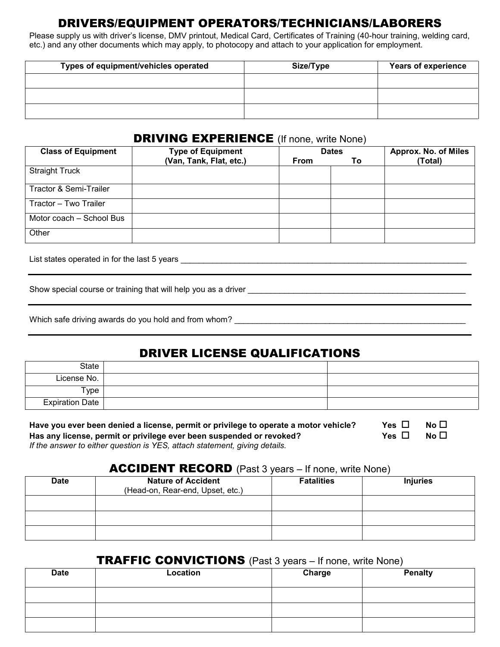## DRIVERS/EQUIPMENT OPERATORS/TECHNICIANS/LABORERS

Please supply us with driver's license, DMV printout, Medical Card, Certificates of Training (40-hour training, welding card, etc.) and any other documents which may apply, to photocopy and attach to your application for employment.

| Types of equipment/vehicles operated | Size/Type | <b>Years of experience</b> |
|--------------------------------------|-----------|----------------------------|
|                                      |           |                            |
|                                      |           |                            |
|                                      |           |                            |

#### **DRIVING EXPERIENCE** (If none, write None)

| <b>Class of Equipment</b> | <b>Type of Equipment</b> | <b>Dates</b> |    | <b>Approx. No. of Miles</b> |
|---------------------------|--------------------------|--------------|----|-----------------------------|
|                           | (Van, Tank, Flat, etc.)  | <b>From</b>  | Τo | (Total)                     |
| <b>Straight Truck</b>     |                          |              |    |                             |
| Tractor & Semi-Trailer    |                          |              |    |                             |
| Tractor - Two Trailer     |                          |              |    |                             |
| Motor coach - School Bus  |                          |              |    |                             |
| Other                     |                          |              |    |                             |

List states operated in for the last 5 years \_\_\_\_\_\_\_\_\_\_\_\_\_\_\_\_\_\_\_\_\_\_\_\_\_\_\_\_\_\_\_\_\_\_\_\_\_\_\_\_\_\_\_\_\_\_\_\_\_\_\_\_\_\_\_\_\_\_\_\_\_\_\_

Show special course or training that will help you as a driver \_\_\_\_\_\_\_\_\_\_\_\_\_\_\_\_\_\_\_\_\_\_\_\_\_\_\_\_\_\_\_\_\_\_\_\_\_\_\_\_\_\_\_\_\_\_\_\_

| Which safe driving awards do you hold and from whom? |  |
|------------------------------------------------------|--|
|                                                      |  |

## DRIVER LICENSE QUALIFICATIONS

| State                  |  |
|------------------------|--|
| License No.            |  |
| Type <sub>1</sub>      |  |
| <b>Expiration Date</b> |  |

| Have you ever been denied a license, permit or privilege to operate a motor vehicle? | Yes $\Box$ | No $\Box$ |  |
|--------------------------------------------------------------------------------------|------------|-----------|--|
| Has any license, permit or privilege ever been suspended or revoked?                 | Yes $\Box$ | No $\Box$ |  |
| If the answer to either question is YES, attach statement, giving details.           |            |           |  |

#### ACCIDENT RECORD (Past 3 years – If none, write None)

| <b>Date</b> | <b>Nature of Accident</b><br>(Head-on, Rear-end, Upset, etc.) | <b>Fatalities</b> | <b>Injuries</b> |
|-------------|---------------------------------------------------------------|-------------------|-----------------|
|             |                                                               |                   |                 |
|             |                                                               |                   |                 |
|             |                                                               |                   |                 |

### TRAFFIC CONVICTIONS (Past 3 years – If none, write None)

| <b>Date</b> | Location | Charge | <b>Penalty</b> |
|-------------|----------|--------|----------------|
|             |          |        |                |
|             |          |        |                |
|             |          |        |                |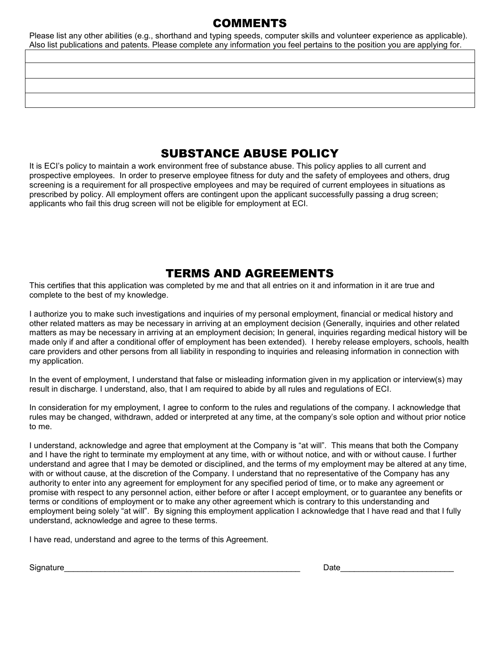## COMMENTS

Please list any other abilities (e.g., shorthand and typing speeds, computer skills and volunteer experience as applicable). Also list publications and patents. Please complete any information you feel pertains to the position you are applying for.

## SUBSTANCE ABUSE POLICY

It is ECI's policy to maintain a work environment free of substance abuse. This policy applies to all current and prospective employees. In order to preserve employee fitness for duty and the safety of employees and others, drug screening is a requirement for all prospective employees and may be required of current employees in situations as prescribed by policy. All employment offers are contingent upon the applicant successfully passing a drug screen; applicants who fail this drug screen will not be eligible for employment at ECI.

## TERMS AND AGREEMENTS

This certifies that this application was completed by me and that all entries on it and information in it are true and complete to the best of my knowledge.

I authorize you to make such investigations and inquiries of my personal employment, financial or medical history and other related matters as may be necessary in arriving at an employment decision (Generally, inquiries and other related matters as may be necessary in arriving at an employment decision; In general, inquiries regarding medical history will be made only if and after a conditional offer of employment has been extended). I hereby release employers, schools, health care providers and other persons from all liability in responding to inquiries and releasing information in connection with my application.

In the event of employment, I understand that false or misleading information given in my application or interview(s) may result in discharge. I understand, also, that I am required to abide by all rules and regulations of ECI.

In consideration for my employment, I agree to conform to the rules and regulations of the company. I acknowledge that rules may be changed, withdrawn, added or interpreted at any time, at the company's sole option and without prior notice to me.

I understand, acknowledge and agree that employment at the Company is "at will". This means that both the Company and I have the right to terminate my employment at any time, with or without notice, and with or without cause. I further understand and agree that I may be demoted or disciplined, and the terms of my employment may be altered at any time, with or without cause, at the discretion of the Company. I understand that no representative of the Company has any authority to enter into any agreement for employment for any specified period of time, or to make any agreement or promise with respect to any personnel action, either before or after I accept employment, or to guarantee any benefits or terms or conditions of employment or to make any other agreement which is contrary to this understanding and employment being solely "at will". By signing this employment application I acknowledge that I have read and that I fully understand, acknowledge and agree to these terms.

I have read, understand and agree to the terms of this Agreement.

Signature **Date**